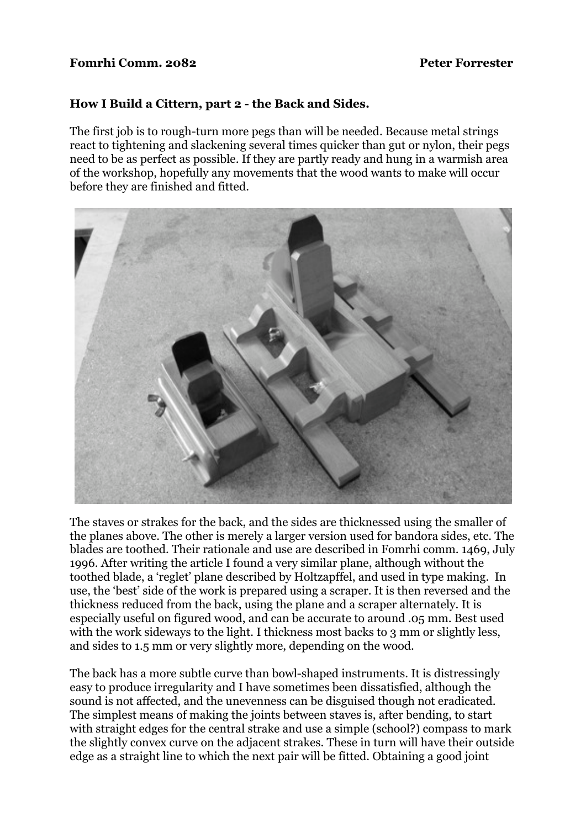### **Fomrhi Comm. 2082** Peter Forrester

## **How I Build a Cittern, part 2 - the Back and Sides.**

The first job is to rough-turn more pegs than will be needed. Because metal strings react to tightening and slackening several times quicker than gut or nylon, their pegs need to be as perfect as possible. If they are partly ready and hung in a warmish area of the workshop, hopefully any movements that the wood wants to make will occur before they are finished and fitted.



The staves or strakes for the back, and the sides are thicknessed using the smaller of the planes above. The other is merely a larger version used for bandora sides, etc. The blades are toothed. Their rationale and use are described in Fomrhi comm. 1469, July 1996. After writing the article I found a very similar plane, although without the toothed blade, a 'reglet' plane described by Holtzapffel, and used in type making. In use, the 'best' side of the work is prepared using a scraper. It is then reversed and the thickness reduced from the back, using the plane and a scraper alternately. It is especially useful on figured wood, and can be accurate to around .05 mm. Best used with the work sideways to the light. I thickness most backs to 3 mm or slightly less, and sides to 1.5 mm or very slightly more, depending on the wood.

The back has a more subtle curve than bowl-shaped instruments. It is distressingly easy to produce irregularity and I have sometimes been dissatisfied, although the sound is not affected, and the unevenness can be disguised though not eradicated. The simplest means of making the joints between staves is, after bending, to start with straight edges for the central strake and use a simple (school?) compass to mark the slightly convex curve on the adjacent strakes. These in turn will have their outside edge as a straight line to which the next pair will be fitted. Obtaining a good joint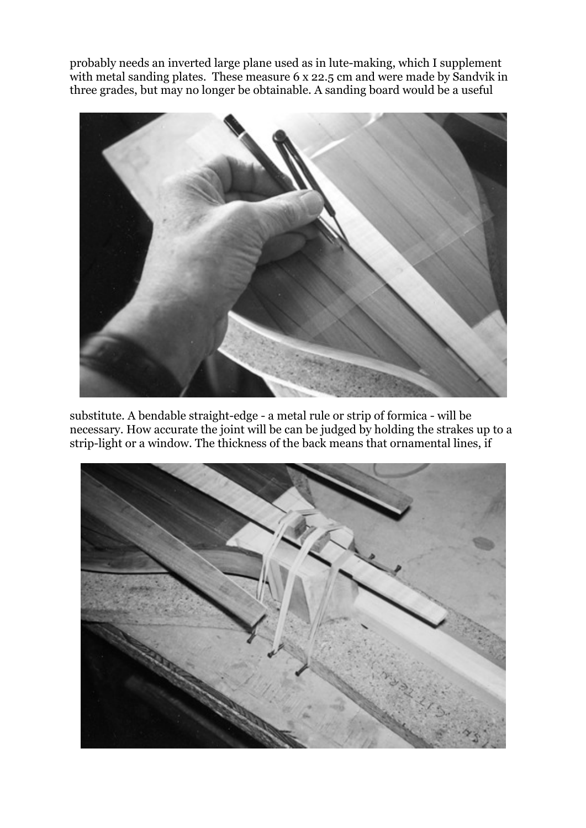probably needs an inverted large plane used as in lute-making, which I supplement with metal sanding plates. These measure 6 x 22.5 cm and were made by Sandvik in three grades, but may no longer be obtainable. A sanding board would be a useful



substitute. A bendable straight-edge - a metal rule or strip of formica - will be necessary. How accurate the joint will be can be judged by holding the strakes up to a strip-light or a window. The thickness of the back means that ornamental lines, if

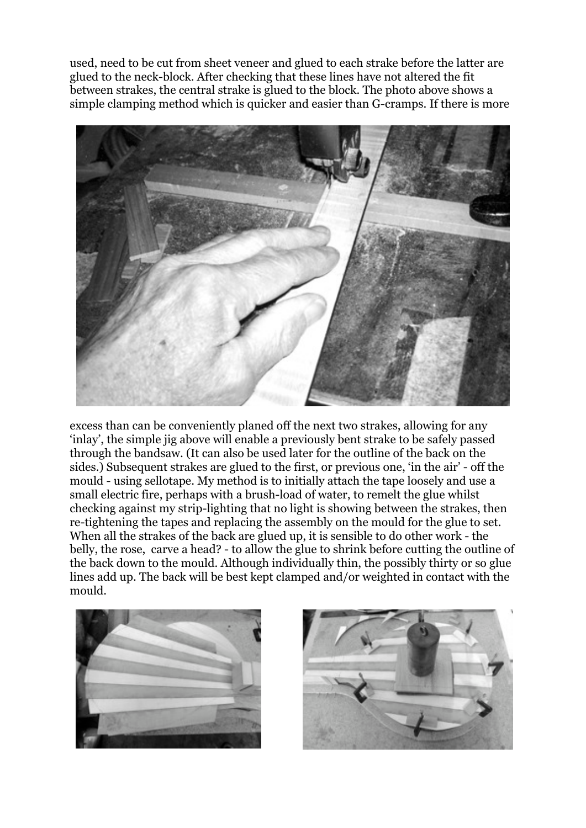used, need to be cut from sheet veneer and glued to each strake before the latter are glued to the neck-block. After checking that these lines have not altered the fit between strakes, the central strake is glued to the block. The photo above shows a simple clamping method which is quicker and easier than G-cramps. If there is more



excess than can be conveniently planed off the next two strakes, allowing for any 'inlay', the simple jig above will enable a previously bent strake to be safely passed through the bandsaw. (It can also be used later for the outline of the back on the sides.) Subsequent strakes are glued to the first, or previous one, 'in the air' - off the mould - using sellotape. My method is to initially attach the tape loosely and use a small electric fire, perhaps with a brush-load of water, to remelt the glue whilst checking against my strip-lighting that no light is showing between the strakes, then re-tightening the tapes and replacing the assembly on the mould for the glue to set. When all the strakes of the back are glued up, it is sensible to do other work - the belly, the rose, carve a head? - to allow the glue to shrink before cutting the outline of the back down to the mould. Although individually thin, the possibly thirty or so glue lines add up. The back will be best kept clamped and/or weighted in contact with the mould.



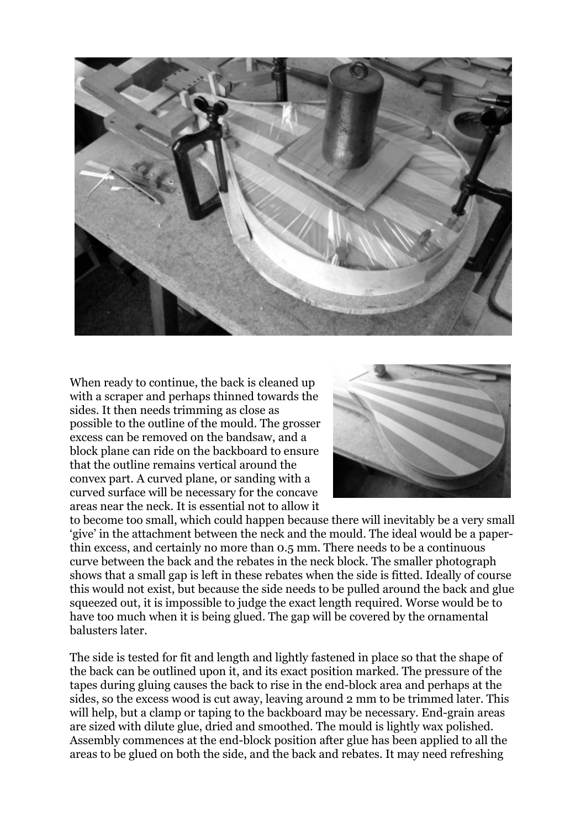

When ready to continue, the back is cleaned up with a scraper and perhaps thinned towards the sides. It then needs trimming as close as possible to the outline of the mould. The grosser excess can be removed on the bandsaw, and a block plane can ride on the backboard to ensure that the outline remains vertical around the convex part. A curved plane, or sanding with a curved surface will be necessary for the concave areas near the neck. It is essential not to allow it



to become too small, which could happen because there will inevitably be a very small 'give' in the attachment between the neck and the mould. The ideal would be a paperthin excess, and certainly no more than 0.5 mm. There needs to be a continuous curve between the back and the rebates in the neck block. The smaller photograph shows that a small gap is left in these rebates when the side is fitted. Ideally of course this would not exist, but because the side needs to be pulled around the back and glue squeezed out, it is impossible to judge the exact length required. Worse would be to have too much when it is being glued. The gap will be covered by the ornamental balusters later.

The side is tested for fit and length and lightly fastened in place so that the shape of the back can be outlined upon it, and its exact position marked. The pressure of the tapes during gluing causes the back to rise in the end-block area and perhaps at the sides, so the excess wood is cut away, leaving around 2 mm to be trimmed later. This will help, but a clamp or taping to the backboard may be necessary. End-grain areas are sized with dilute glue, dried and smoothed. The mould is lightly wax polished. Assembly commences at the end-block position after glue has been applied to all the areas to be glued on both the side, and the back and rebates. It may need refreshing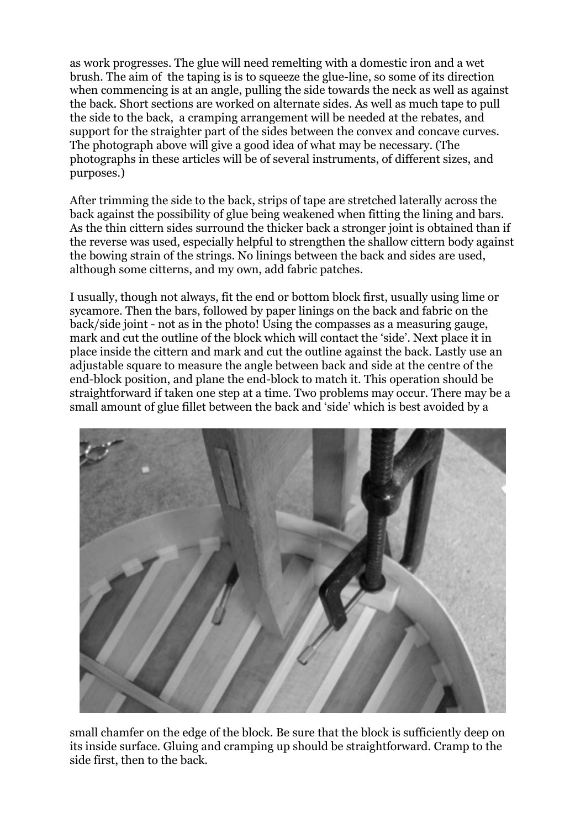as work progresses. The glue will need remelting with a domestic iron and a wet brush. The aim of the taping is is to squeeze the glue-line, so some of its direction when commencing is at an angle, pulling the side towards the neck as well as against the back. Short sections are worked on alternate sides. As well as much tape to pull the side to the back, a cramping arrangement will be needed at the rebates, and support for the straighter part of the sides between the convex and concave curves. The photograph above will give a good idea of what may be necessary. (The photographs in these articles will be of several instruments, of different sizes, and purposes.)

After trimming the side to the back, strips of tape are stretched laterally across the back against the possibility of glue being weakened when fitting the lining and bars. As the thin cittern sides surround the thicker back a stronger joint is obtained than if the reverse was used, especially helpful to strengthen the shallow cittern body against the bowing strain of the strings. No linings between the back and sides are used, although some citterns, and my own, add fabric patches.

I usually, though not always, fit the end or bottom block first, usually using lime or sycamore. Then the bars, followed by paper linings on the back and fabric on the back/side joint - not as in the photo! Using the compasses as a measuring gauge, mark and cut the outline of the block which will contact the 'side'. Next place it in place inside the cittern and mark and cut the outline against the back. Lastly use an adjustable square to measure the angle between back and side at the centre of the end-block position, and plane the end-block to match it. This operation should be straightforward if taken one step at a time. Two problems may occur. There may be a small amount of glue fillet between the back and 'side' which is best avoided by a



small chamfer on the edge of the block. Be sure that the block is sufficiently deep on its inside surface. Gluing and cramping up should be straightforward. Cramp to the side first, then to the back.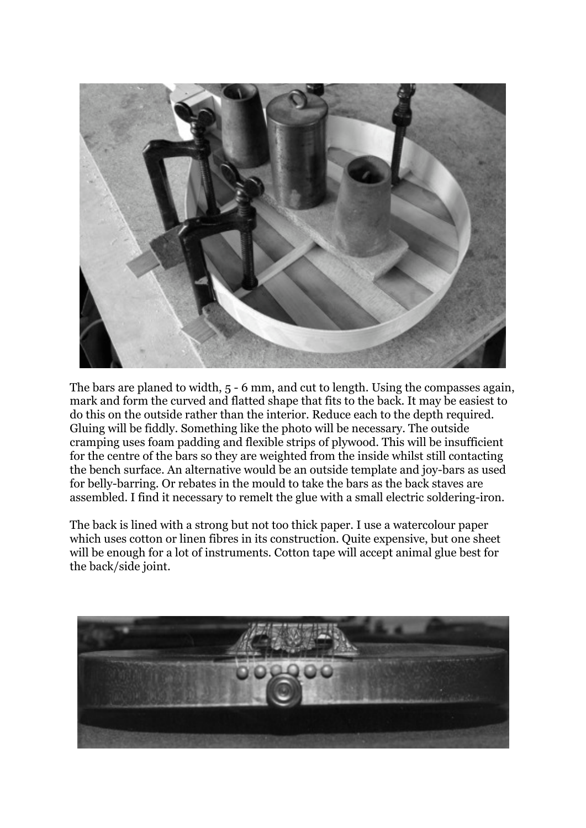

The bars are planed to width, 5 - 6 mm, and cut to length. Using the compasses again, mark and form the curved and flatted shape that fits to the back. It may be easiest to do this on the outside rather than the interior. Reduce each to the depth required. Gluing will be fiddly. Something like the photo will be necessary. The outside cramping uses foam padding and flexible strips of plywood. This will be insufficient for the centre of the bars so they are weighted from the inside whilst still contacting the bench surface. An alternative would be an outside template and joy-bars as used for belly-barring. Or rebates in the mould to take the bars as the back staves are assembled. I find it necessary to remelt the glue with a small electric soldering-iron.

The back is lined with a strong but not too thick paper. I use a watercolour paper which uses cotton or linen fibres in its construction. Quite expensive, but one sheet will be enough for a lot of instruments. Cotton tape will accept animal glue best for the back/side joint.

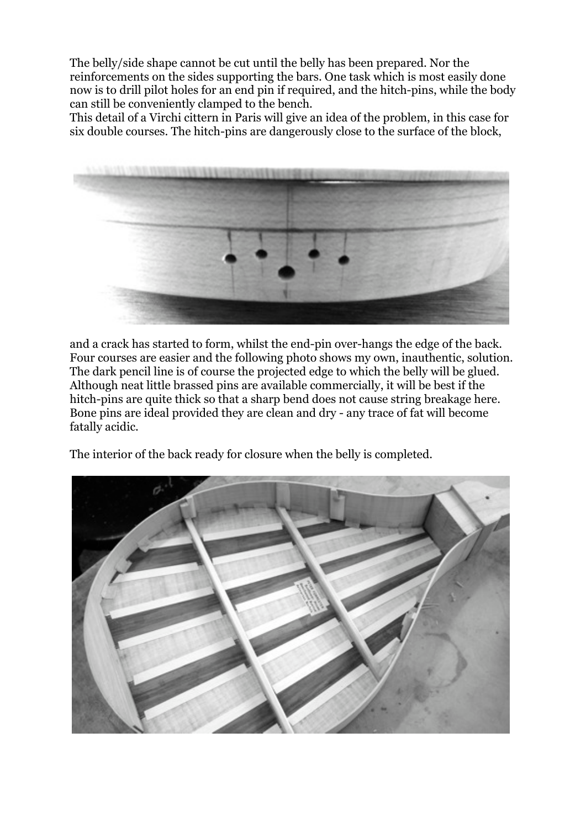The belly/side shape cannot be cut until the belly has been prepared. Nor the reinforcements on the sides supporting the bars. One task which is most easily done now is to drill pilot holes for an end pin if required, and the hitch-pins, while the body can still be conveniently clamped to the bench.

This detail of a Virchi cittern in Paris will give an idea of the problem, in this case for six double courses. The hitch-pins are dangerously close to the surface of the block,



and a crack has started to form, whilst the end-pin over-hangs the edge of the back. Four courses are easier and the following photo shows my own, inauthentic, solution. The dark pencil line is of course the projected edge to which the belly will be glued. Although neat little brassed pins are available commercially, it will be best if the hitch-pins are quite thick so that a sharp bend does not cause string breakage here. Bone pins are ideal provided they are clean and dry - any trace of fat will become fatally acidic.

The interior of the back ready for closure when the belly is completed.

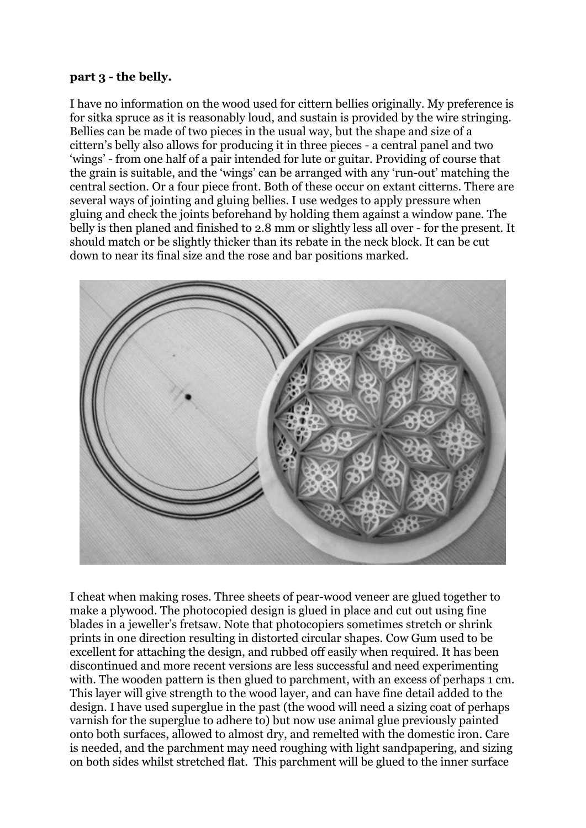### **part 3 - the belly.**

I have no information on the wood used for cittern bellies originally. My preference is for sitka spruce as it is reasonably loud, and sustain is provided by the wire stringing. Bellies can be made of two pieces in the usual way, but the shape and size of a cittern's belly also allows for producing it in three pieces - a central panel and two 'wings' - from one half of a pair intended for lute or guitar. Providing of course that the grain is suitable, and the 'wings' can be arranged with any 'run-out' matching the central section. Or a four piece front. Both of these occur on extant citterns. There are several ways of jointing and gluing bellies. I use wedges to apply pressure when gluing and check the joints beforehand by holding them against a window pane. The belly is then planed and finished to 2.8 mm or slightly less all over - for the present. It should match or be slightly thicker than its rebate in the neck block. It can be cut down to near its final size and the rose and bar positions marked.



I cheat when making roses. Three sheets of pear-wood veneer are glued together to make a plywood. The photocopied design is glued in place and cut out using fine blades in a jeweller's fretsaw. Note that photocopiers sometimes stretch or shrink prints in one direction resulting in distorted circular shapes. Cow Gum used to be excellent for attaching the design, and rubbed off easily when required. It has been discontinued and more recent versions are less successful and need experimenting with. The wooden pattern is then glued to parchment, with an excess of perhaps 1 cm. This layer will give strength to the wood layer, and can have fine detail added to the design. I have used superglue in the past (the wood will need a sizing coat of perhaps varnish for the superglue to adhere to) but now use animal glue previously painted onto both surfaces, allowed to almost dry, and remelted with the domestic iron. Care is needed, and the parchment may need roughing with light sandpapering, and sizing on both sides whilst stretched flat. This parchment will be glued to the inner surface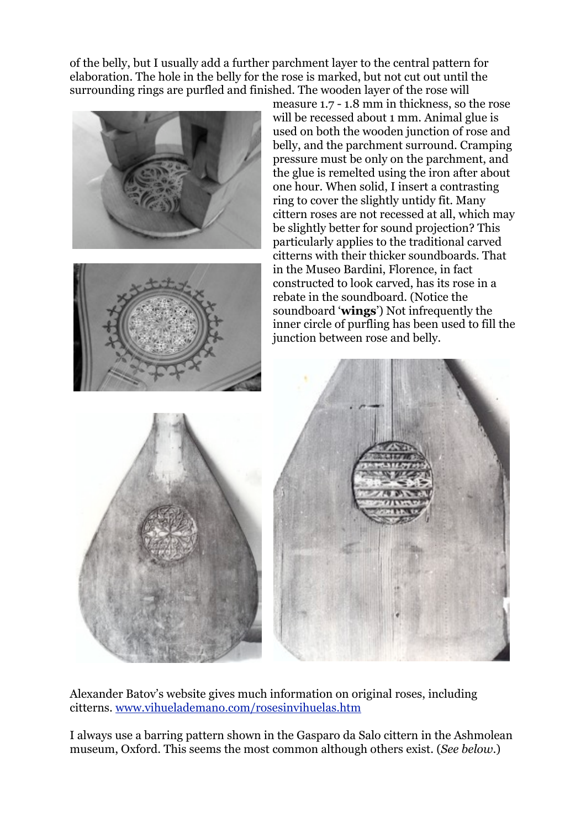of the belly, but I usually add a further parchment layer to the central pattern for elaboration. The hole in the belly for the rose is marked, but not cut out until the surrounding rings are purfled and finished. The wooden layer of the rose will



Alexander Batov's website gives much information on original roses, including citterns. [www.vihuelademano.com/rosesinvihuelas.htm](http://www.vihuelademano.com/rosesinvihuelas.htm)

I always use a barring pattern shown in the Gasparo da Salo cittern in the Ashmolean museum, Oxford. This seems the most common although others exist. (*See below*.)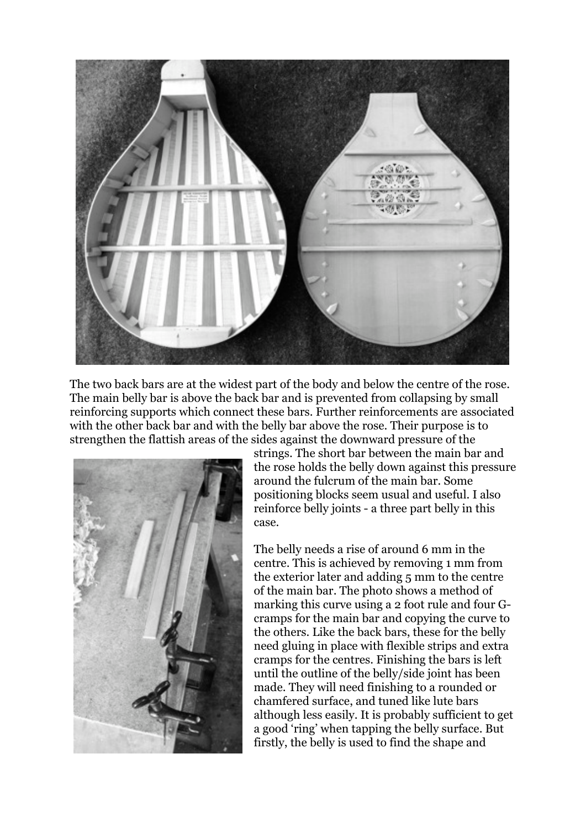

The two back bars are at the widest part of the body and below the centre of the rose. The main belly bar is above the back bar and is prevented from collapsing by small reinforcing supports which connect these bars. Further reinforcements are associated with the other back bar and with the belly bar above the rose. Their purpose is to strengthen the flattish areas of the sides against the downward pressure of the



strings. The short bar between the main bar and the rose holds the belly down against this pressure around the fulcrum of the main bar. Some positioning blocks seem usual and useful. I also reinforce belly joints - a three part belly in this case.

The belly needs a rise of around 6 mm in the centre. This is achieved by removing 1 mm from the exterior later and adding 5 mm to the centre of the main bar. The photo shows a method of marking this curve using a 2 foot rule and four Gcramps for the main bar and copying the curve to the others. Like the back bars, these for the belly need gluing in place with flexible strips and extra cramps for the centres. Finishing the bars is left until the outline of the belly/side joint has been made. They will need finishing to a rounded or chamfered surface, and tuned like lute bars although less easily. It is probably sufficient to get a good 'ring' when tapping the belly surface. But firstly, the belly is used to find the shape and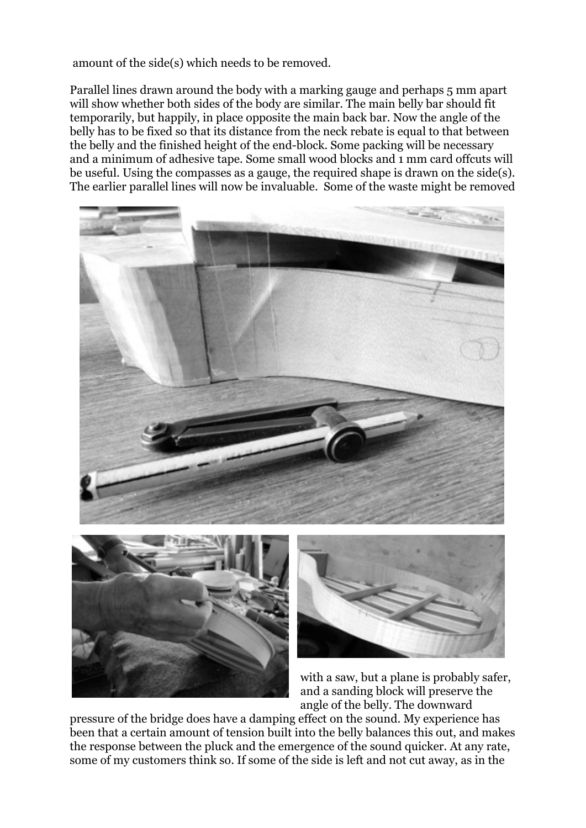amount of the side(s) which needs to be removed.

Parallel lines drawn around the body with a marking gauge and perhaps 5 mm apart will show whether both sides of the body are similar. The main belly bar should fit temporarily, but happily, in place opposite the main back bar. Now the angle of the belly has to be fixed so that its distance from the neck rebate is equal to that between the belly and the finished height of the end-block. Some packing will be necessary and a minimum of adhesive tape. Some small wood blocks and 1 mm card offcuts will be useful. Using the compasses as a gauge, the required shape is drawn on the side(s). The earlier parallel lines will now be invaluable. Some of the waste might be removed



with a saw, but a plane is probably safer, and a sanding block will preserve the angle of the belly. The downward

pressure of the bridge does have a damping effect on the sound. My experience has been that a certain amount of tension built into the belly balances this out, and makes the response between the pluck and the emergence of the sound quicker. At any rate, some of my customers think so. If some of the side is left and not cut away, as in the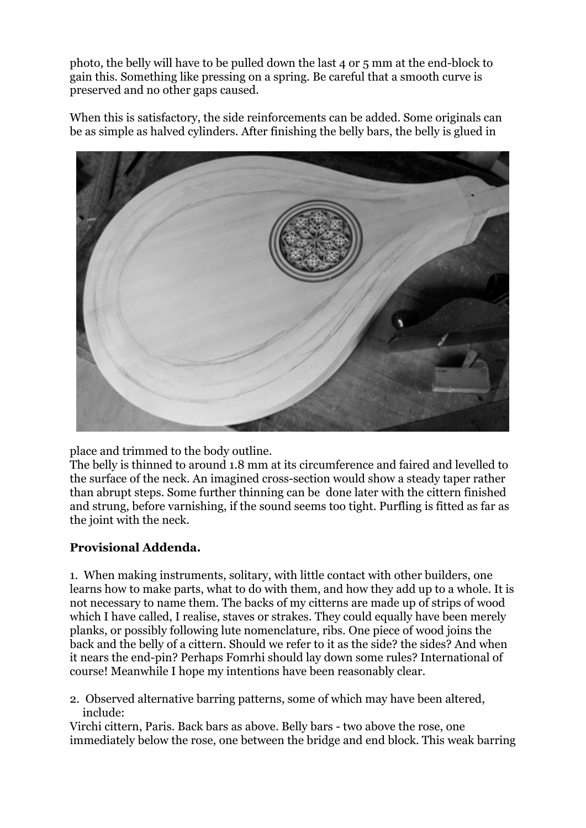photo, the belly will have to be pulled down the last 4 or 5 mm at the end-block to gain this. Something like pressing on a spring. Be careful that a smooth curve is preserved and no other gaps caused.

When this is satisfactory, the side reinforcements can be added. Some originals can be as simple as halved cylinders. After finishing the belly bars, the belly is glued in



place and trimmed to the body outline.

The belly is thinned to around 1.8 mm at its circumference and faired and levelled to the surface of the neck. An imagined cross-section would show a steady taper rather than abrupt steps. Some further thinning can be done later with the cittern finished and strung, before varnishing, if the sound seems too tight. Purfling is fitted as far as the joint with the neck.

# **Provisional Addenda.**

1. When making instruments, solitary, with little contact with other builders, one learns how to make parts, what to do with them, and how they add up to a whole. It is not necessary to name them. The backs of my citterns are made up of strips of wood which I have called, I realise, staves or strakes. They could equally have been merely planks, or possibly following lute nomenclature, ribs. One piece of wood joins the back and the belly of a cittern. Should we refer to it as the side? the sides? And when it nears the end-pin? Perhaps Fomrhi should lay down some rules? International of course! Meanwhile I hope my intentions have been reasonably clear.

2. Observed alternative barring patterns, some of which may have been altered, include:

Virchi cittern, Paris. Back bars as above. Belly bars - two above the rose, one immediately below the rose, one between the bridge and end block. This weak barring